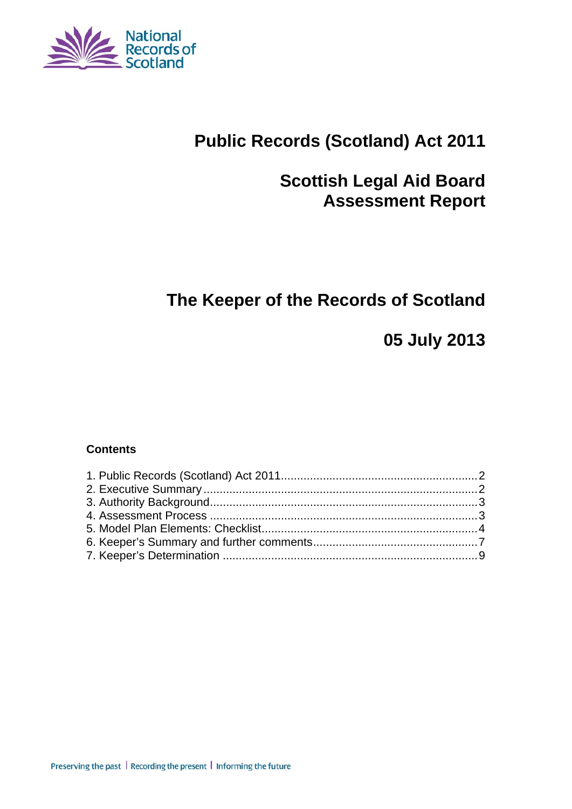

# **Public Records (Scotland) Act 2011**

# **Scottish Legal Aid Board Assessment Report**

# **The Keeper of the Records of Scotland**

**05 July 2013** 

#### **Contents**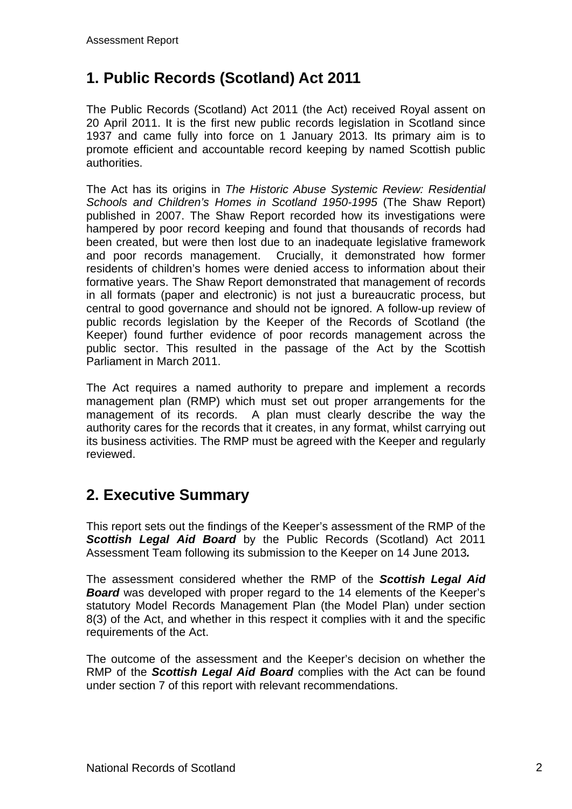## **1. Public Records (Scotland) Act 2011**

The Public Records (Scotland) Act 2011 (the Act) received Royal assent on 20 April 2011. It is the first new public records legislation in Scotland since 1937 and came fully into force on 1 January 2013. Its primary aim is to promote efficient and accountable record keeping by named Scottish public authorities.

The Act has its origins in *The Historic Abuse Systemic Review: Residential Schools and Children's Homes in Scotland 1950-1995* (The Shaw Report) published in 2007. The Shaw Report recorded how its investigations were hampered by poor record keeping and found that thousands of records had been created, but were then lost due to an inadequate legislative framework and poor records management. Crucially, it demonstrated how former residents of children's homes were denied access to information about their formative years. The Shaw Report demonstrated that management of records in all formats (paper and electronic) is not just a bureaucratic process, but central to good governance and should not be ignored. A follow-up review of public records legislation by the Keeper of the Records of Scotland (the Keeper) found further evidence of poor records management across the public sector. This resulted in the passage of the Act by the Scottish Parliament in March 2011.

The Act requires a named authority to prepare and implement a records management plan (RMP) which must set out proper arrangements for the management of its records. A plan must clearly describe the way the authority cares for the records that it creates, in any format, whilst carrying out its business activities. The RMP must be agreed with the Keeper and regularly reviewed.

### **2. Executive Summary**

This report sets out the findings of the Keeper's assessment of the RMP of the *Scottish Legal Aid Board* by the Public Records (Scotland) Act 2011 Assessment Team following its submission to the Keeper on 14 June 2013*.*

The assessment considered whether the RMP of the *Scottish Legal Aid Board* was developed with proper regard to the 14 elements of the Keeper's statutory Model Records Management Plan (the Model Plan) under section 8(3) of the Act, and whether in this respect it complies with it and the specific requirements of the Act.

The outcome of the assessment and the Keeper's decision on whether the RMP of the *Scottish Legal Aid Board* complies with the Act can be found under section 7 of this report with relevant recommendations.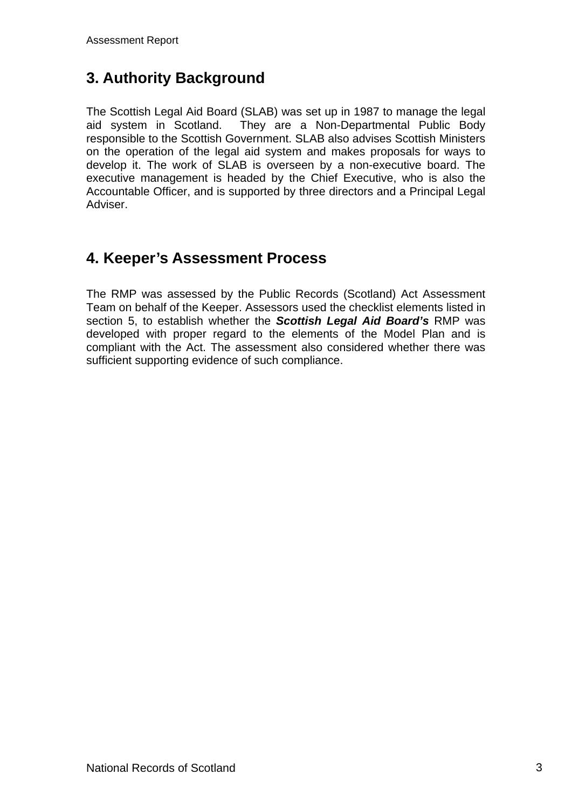## **3. Authority Background**

The Scottish Legal Aid Board (SLAB) was set up in 1987 to manage the legal aid system in Scotland. They are a Non-Departmental Public Body responsible to the Scottish Government. SLAB also advises Scottish Ministers on the operation of the legal aid system and makes proposals for ways to develop it. The work of SLAB is overseen by a non-executive board. The executive management is headed by the Chief Executive, who is also the Accountable Officer, and is supported by three directors and a Principal Legal Adviser.

### **4. Keeper's Assessment Process**

The RMP was assessed by the Public Records (Scotland) Act Assessment Team on behalf of the Keeper. Assessors used the checklist elements listed in section 5, to establish whether the *Scottish Legal Aid Board's* RMP was developed with proper regard to the elements of the Model Plan and is compliant with the Act. The assessment also considered whether there was sufficient supporting evidence of such compliance.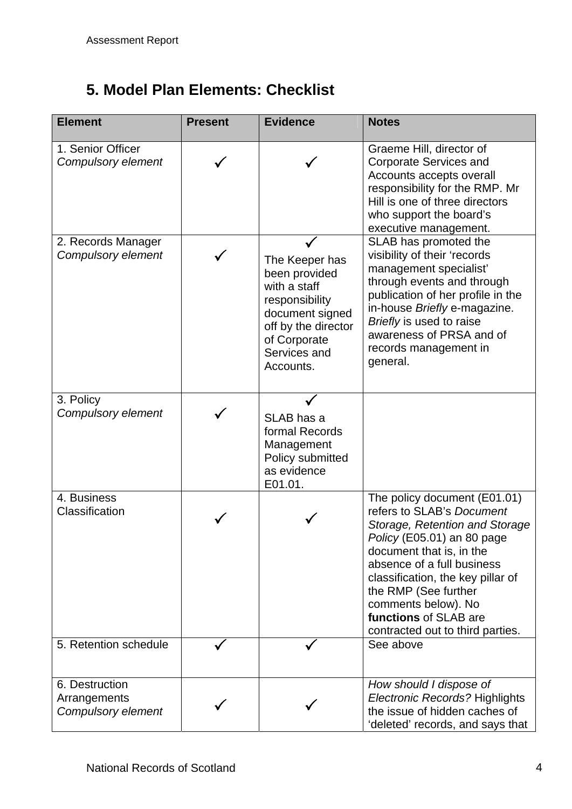# **5. Model Plan Elements: Checklist**

| <b>Element</b>                                       | <b>Present</b> | <b>Evidence</b>                                                                                                                                          | <b>Notes</b>                                                                                                                                                                                                                                                                                                                         |
|------------------------------------------------------|----------------|----------------------------------------------------------------------------------------------------------------------------------------------------------|--------------------------------------------------------------------------------------------------------------------------------------------------------------------------------------------------------------------------------------------------------------------------------------------------------------------------------------|
| 1. Senior Officer<br>Compulsory element              |                |                                                                                                                                                          | Graeme Hill, director of<br><b>Corporate Services and</b><br>Accounts accepts overall<br>responsibility for the RMP. Mr<br>Hill is one of three directors<br>who support the board's<br>executive management.                                                                                                                        |
| 2. Records Manager<br>Compulsory element             |                | The Keeper has<br>been provided<br>with a staff<br>responsibility<br>document signed<br>off by the director<br>of Corporate<br>Services and<br>Accounts. | SLAB has promoted the<br>visibility of their 'records<br>management specialist'<br>through events and through<br>publication of her profile in the<br>in-house Briefly e-magazine.<br>Briefly is used to raise<br>awareness of PRSA and of<br>records management in<br>general.                                                      |
| 3. Policy<br>Compulsory element                      |                | SLAB has a<br>formal Records<br>Management<br>Policy submitted<br>as evidence<br>E01.01.                                                                 |                                                                                                                                                                                                                                                                                                                                      |
| 4. Business<br>Classification                        |                |                                                                                                                                                          | The policy document (E01.01)<br>refers to SLAB's Document<br>Storage, Retention and Storage<br>Policy (E05.01) an 80 page<br>document that is, in the<br>absence of a full business<br>classification, the key pillar of<br>the RMP (See further<br>comments below). No<br>functions of SLAB are<br>contracted out to third parties. |
| 5. Retention schedule                                |                |                                                                                                                                                          | See above                                                                                                                                                                                                                                                                                                                            |
| 6. Destruction<br>Arrangements<br>Compulsory element |                |                                                                                                                                                          | How should I dispose of<br>Electronic Records? Highlights<br>the issue of hidden caches of<br>'deleted' records, and says that                                                                                                                                                                                                       |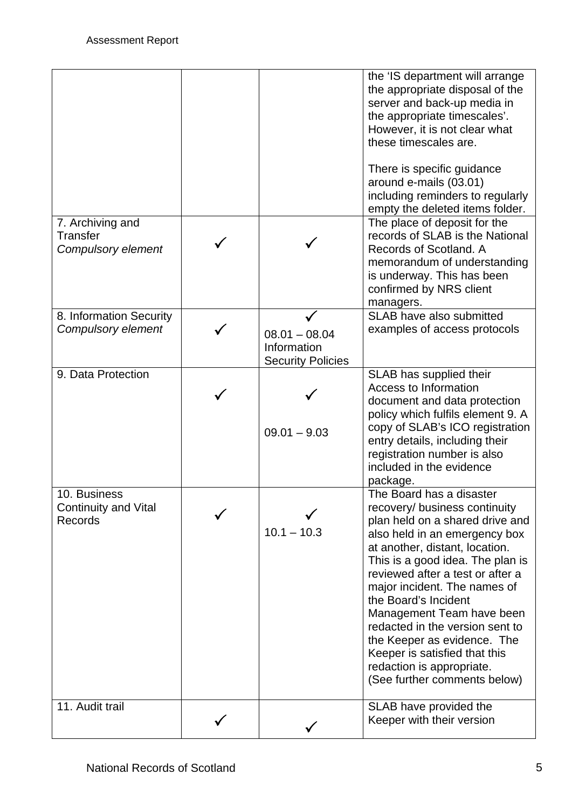| 7. Archiving and                                              |                                                            | the 'IS department will arrange<br>the appropriate disposal of the<br>server and back-up media in<br>the appropriate timescales'.<br>However, it is not clear what<br>these timescales are.<br>There is specific guidance<br>around e-mails (03.01)<br>including reminders to regularly<br>empty the deleted items folder.<br>The place of deposit for the                                                                                                                                   |
|---------------------------------------------------------------|------------------------------------------------------------|----------------------------------------------------------------------------------------------------------------------------------------------------------------------------------------------------------------------------------------------------------------------------------------------------------------------------------------------------------------------------------------------------------------------------------------------------------------------------------------------|
| <b>Transfer</b><br>Compulsory element                         |                                                            | records of SLAB is the National<br>Records of Scotland. A<br>memorandum of understanding<br>is underway. This has been<br>confirmed by NRS client<br>managers.                                                                                                                                                                                                                                                                                                                               |
| 8. Information Security<br>Compulsory element                 | $08.01 - 08.04$<br>Information<br><b>Security Policies</b> | SLAB have also submitted<br>examples of access protocols                                                                                                                                                                                                                                                                                                                                                                                                                                     |
| 9. Data Protection                                            | $09.01 - 9.03$                                             | SLAB has supplied their<br>Access to Information<br>document and data protection<br>policy which fulfils element 9. A<br>copy of SLAB's ICO registration<br>entry details, including their<br>registration number is also<br>included in the evidence<br>package.                                                                                                                                                                                                                            |
| 10. Business<br><b>Continuity and Vital</b><br><b>Records</b> | $10.1 - 10.3$                                              | The Board has a disaster<br>recovery/ business continuity<br>plan held on a shared drive and<br>also held in an emergency box<br>at another, distant, location.<br>This is a good idea. The plan is<br>reviewed after a test or after a<br>major incident. The names of<br>the Board's Incident<br>Management Team have been<br>redacted in the version sent to<br>the Keeper as evidence. The<br>Keeper is satisfied that this<br>redaction is appropriate.<br>(See further comments below) |
| 11. Audit trail                                               |                                                            | SLAB have provided the<br>Keeper with their version                                                                                                                                                                                                                                                                                                                                                                                                                                          |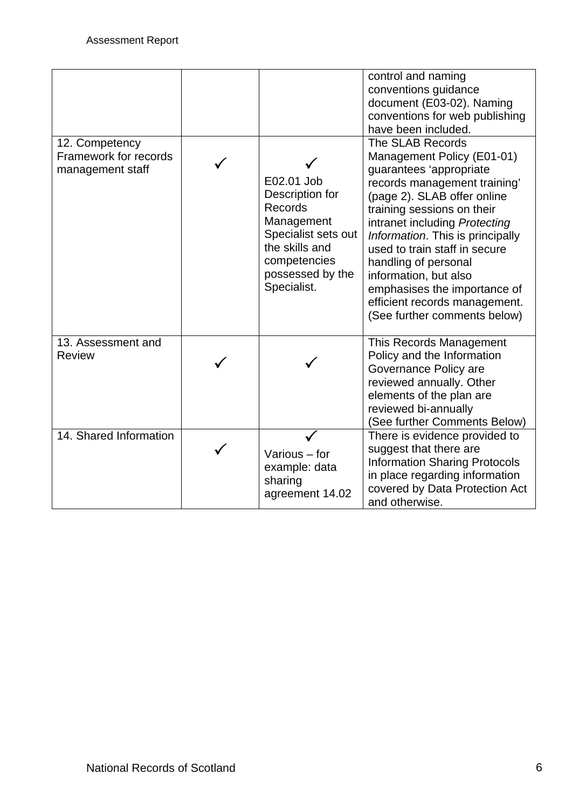|                                                             |                                                                                                                                                    | control and naming<br>conventions guidance<br>document (E03-02). Naming<br>conventions for web publishing<br>have been included.                                                                                                                                                                                                                                                                                               |
|-------------------------------------------------------------|----------------------------------------------------------------------------------------------------------------------------------------------------|--------------------------------------------------------------------------------------------------------------------------------------------------------------------------------------------------------------------------------------------------------------------------------------------------------------------------------------------------------------------------------------------------------------------------------|
| 12. Competency<br>Framework for records<br>management staff | E02.01 Job<br>Description for<br>Records<br>Management<br>Specialist sets out<br>the skills and<br>competencies<br>possessed by the<br>Specialist. | The SLAB Records<br>Management Policy (E01-01)<br>guarantees 'appropriate<br>records management training'<br>(page 2). SLAB offer online<br>training sessions on their<br>intranet including Protecting<br>Information. This is principally<br>used to train staff in secure<br>handling of personal<br>information, but also<br>emphasises the importance of<br>efficient records management.<br>(See further comments below) |
| 13. Assessment and<br><b>Review</b>                         |                                                                                                                                                    | This Records Management<br>Policy and the Information<br>Governance Policy are<br>reviewed annually. Other<br>elements of the plan are<br>reviewed bi-annually<br>(See further Comments Below)                                                                                                                                                                                                                                 |
| 14. Shared Information                                      | Various - for<br>example: data<br>sharing<br>agreement 14.02                                                                                       | There is evidence provided to<br>suggest that there are<br><b>Information Sharing Protocols</b><br>in place regarding information<br>covered by Data Protection Act<br>and otherwise.                                                                                                                                                                                                                                          |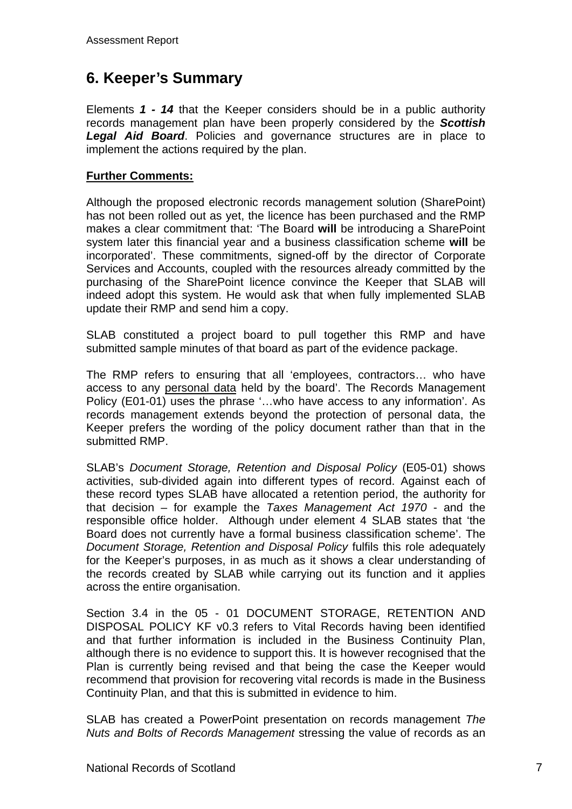### **6. Keeper's Summary**

Elements *1 - 14* that the Keeper considers should be in a public authority records management plan have been properly considered by the *Scottish Legal Aid Board*. Policies and governance structures are in place to implement the actions required by the plan.

#### **Further Comments:**

Although the proposed electronic records management solution (SharePoint) has not been rolled out as yet, the licence has been purchased and the RMP makes a clear commitment that: 'The Board **will** be introducing a SharePoint system later this financial year and a business classification scheme **will** be incorporated'. These commitments, signed-off by the director of Corporate Services and Accounts, coupled with the resources already committed by the purchasing of the SharePoint licence convince the Keeper that SLAB will indeed adopt this system. He would ask that when fully implemented SLAB update their RMP and send him a copy.

SLAB constituted a project board to pull together this RMP and have submitted sample minutes of that board as part of the evidence package.

The RMP refers to ensuring that all 'employees, contractors… who have access to any personal data held by the board'. The Records Management Policy (E01-01) uses the phrase '…who have access to any information'. As records management extends beyond the protection of personal data, the Keeper prefers the wording of the policy document rather than that in the submitted RMP.

SLAB's *Document Storage, Retention and Disposal Policy* (E05-01) shows activities, sub-divided again into different types of record. Against each of these record types SLAB have allocated a retention period, the authority for that decision – for example the *Taxes Management Act 1970* - and the responsible office holder. Although under element 4 SLAB states that 'the Board does not currently have a formal business classification scheme'. The *Document Storage, Retention and Disposal Policy* fulfils this role adequately for the Keeper's purposes, in as much as it shows a clear understanding of the records created by SLAB while carrying out its function and it applies across the entire organisation.

Section 3.4 in the 05 - 01 DOCUMENT STORAGE, RETENTION AND DISPOSAL POLICY KF v0.3 refers to Vital Records having been identified and that further information is included in the Business Continuity Plan, although there is no evidence to support this. It is however recognised that the Plan is currently being revised and that being the case the Keeper would recommend that provision for recovering vital records is made in the Business Continuity Plan, and that this is submitted in evidence to him.

SLAB has created a PowerPoint presentation on records management *The Nuts and Bolts of Records Management* stressing the value of records as an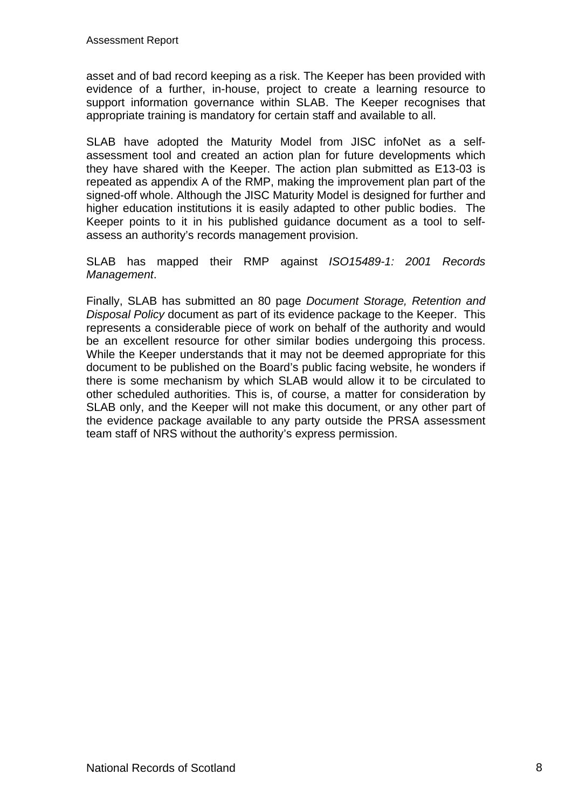asset and of bad record keeping as a risk. The Keeper has been provided with evidence of a further, in-house, project to create a learning resource to support information governance within SLAB. The Keeper recognises that appropriate training is mandatory for certain staff and available to all.

SLAB have adopted the Maturity Model from JISC infoNet as a selfassessment tool and created an action plan for future developments which they have shared with the Keeper. The action plan submitted as E13-03 is repeated as appendix A of the RMP, making the improvement plan part of the signed-off whole. Although the JISC Maturity Model is designed for further and higher education institutions it is easily adapted to other public bodies. The Keeper points to it in his published guidance document as a tool to selfassess an authority's records management provision.

SLAB has mapped their RMP against *ISO15489-1: 2001 Records Management*.

Finally, SLAB has submitted an 80 page *Document Storage, Retention and Disposal Policy* document as part of its evidence package to the Keeper. This represents a considerable piece of work on behalf of the authority and would be an excellent resource for other similar bodies undergoing this process. While the Keeper understands that it may not be deemed appropriate for this document to be published on the Board's public facing website, he wonders if there is some mechanism by which SLAB would allow it to be circulated to other scheduled authorities. This is, of course, a matter for consideration by SLAB only, and the Keeper will not make this document, or any other part of the evidence package available to any party outside the PRSA assessment team staff of NRS without the authority's express permission.